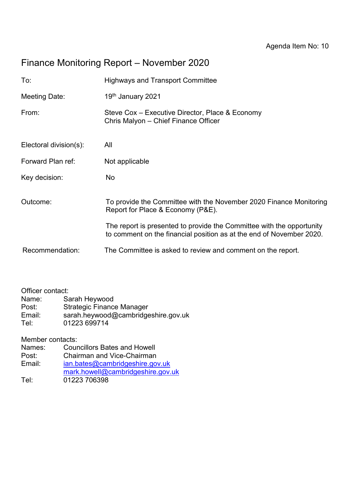# Finance Monitoring Report – November 2020

| <b>Highways and Transport Committee</b>                                                                                                       |
|-----------------------------------------------------------------------------------------------------------------------------------------------|
| 19th January 2021                                                                                                                             |
| Steve Cox – Executive Director, Place & Economy<br>Chris Malyon - Chief Finance Officer                                                       |
| All                                                                                                                                           |
| Not applicable                                                                                                                                |
| No                                                                                                                                            |
| To provide the Committee with the November 2020 Finance Monitoring<br>Report for Place & Economy (P&E).                                       |
| The report is presented to provide the Committee with the opportunity<br>to comment on the financial position as at the end of November 2020. |
| The Committee is asked to review and comment on the report.                                                                                   |
|                                                                                                                                               |

Officer contact:<br>Name: Sa

Name: Sarah Heywood<br>Post: Strategic Finance

Strategic Finance Manager

Email: sarah.heywood@cambridgeshire.gov.uk

Tel: 01223 699714

Member contacts:<br>Names: Cour

Names: Councillors Bates and Howell<br>Post: Chairman and Vice-Chairman

Post: Chairman and Vice-Chairman<br>
Email: ian.bates@cambridgeshire.gov

[ian.bates@cambridgeshire.gov.uk](mailto:ian.bates@cambridgeshire.gov.uk)

- [mark.howell@cambridgeshire.gov.uk](mailto:mark.howell@cambridgeshire.gov.uk)
- Tel: 01223 706398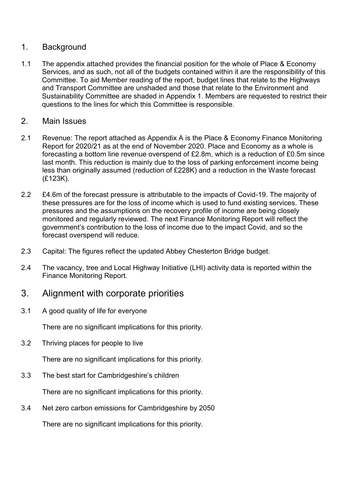### 1. Background

1.1 The appendix attached provides the financial position for the whole of Place & Economy Services, and as such, not all of the budgets contained within it are the responsibility of this Committee. To aid Member reading of the report, budget lines that relate to the Highways and Transport Committee are unshaded and those that relate to the Environment and Sustainability Committee are shaded in Appendix 1. Members are requested to restrict their questions to the lines for which this Committee is responsible.

### 2. Main Issues

- 2.1 Revenue: The report attached as Appendix A is the Place & Economy Finance Monitoring Report for 2020/21 as at the end of November 2020. Place and Economy as a whole is forecasting a bottom line revenue overspend of £2.8m, which is a reduction of £0.5m since last month. This reduction is mainly due to the loss of parking enforcement income being less than originally assumed (reduction of £228K) and a reduction in the Waste forecast (£123K).
- 2.2 £4.6m of the forecast pressure is attributable to the impacts of Covid-19. The majority of these pressures are for the loss of income which is used to fund existing services. These pressures and the assumptions on the recovery profile of income are being closely monitored and regularly reviewed. The next Finance Monitoring Report will reflect the government's contribution to the loss of income due to the impact Covid, and so the forecast overspend will reduce.
- 2.3 Capital: The figures reflect the updated Abbey Chesterton Bridge budget.
- 2.4 The vacancy, tree and Local Highway Initiative (LHI) activity data is reported within the Finance Monitoring Report.

### 3. Alignment with corporate priorities

3.1 A good quality of life for everyone

There are no significant implications for this priority.

3.2 Thriving places for people to live

There are no significant implications for this priority.

3.3 The best start for Cambridgeshire's children

There are no significant implications for this priority.

3.4 Net zero carbon emissions for Cambridgeshire by 2050

There are no significant implications for this priority.